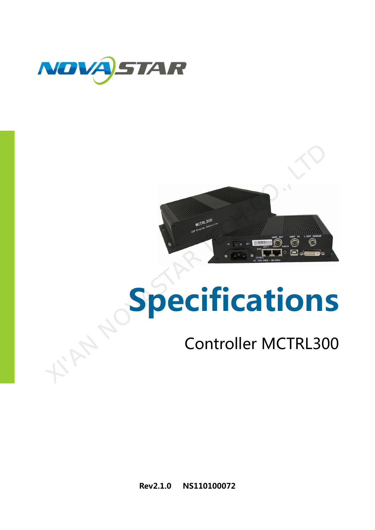



# Specifications

# Controller MCTRL300

Rev2.1.0 NS110100072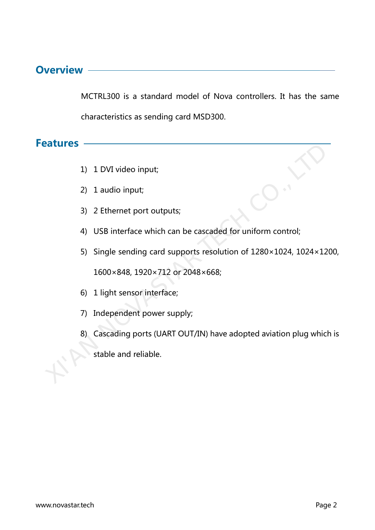#### **Overview**

MCTRL300 is a standard model of Nova controllers. It has the same characteristics as sending card MSD300.

**Features** 

- 1) 1 DVI video input;
- 2) 1 audio input;
- 3) 2 Ethernet port outputs;
- 4) USB interface which can be cascaded for uniform control;
- 5) Single sending card supports resolution of 1280×1024, 1024×1200, 1600×848, 1920×712 or 2048×668; 1 1 DVI video input;<br>
2 1 audio input;<br>
2 1 audio input;<br>
3 2 Ethernet port outputs;<br>
4 USB interface which can be cascaded for uniform control;<br>
5 5 Single sending card supports resolution of 1280×1024, 1024×12<br>
1600×848,
	- 6) 1 light sensor interface;
	- 7) Independent power supply;
	- 8) Cascading ports (UART OUT/IN) have adopted aviation plug which is
		- stable and reliable.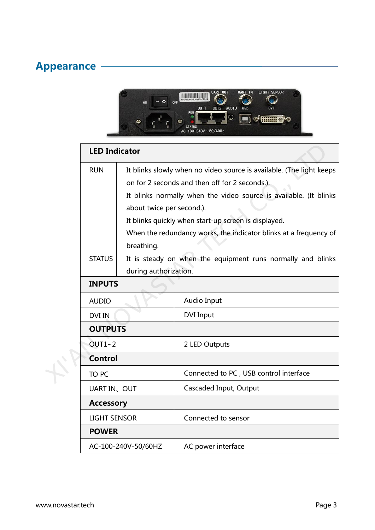### Appearance



|  | <b>LED Indicator</b> |                                         |                                                                                                                                                                                                                                                                                                                          |  |  |  |
|--|----------------------|-----------------------------------------|--------------------------------------------------------------------------------------------------------------------------------------------------------------------------------------------------------------------------------------------------------------------------------------------------------------------------|--|--|--|
|  | <b>RUN</b>           | about twice per second.).<br>breathing. | It blinks slowly when no video source is available. (The light keeps<br>on for 2 seconds and then off for 2 seconds.).<br>It blinks normally when the video source is available. (It blinks<br>It blinks quickly when start-up screen is displayed.<br>When the redundancy works, the indicator blinks at a frequency of |  |  |  |
|  | <b>STATUS</b>        | during authorization.                   | It is steady on when the equipment runs normally and blinks                                                                                                                                                                                                                                                              |  |  |  |
|  | <b>INPUTS</b>        |                                         |                                                                                                                                                                                                                                                                                                                          |  |  |  |
|  | <b>AUDIO</b>         |                                         | Audio Input                                                                                                                                                                                                                                                                                                              |  |  |  |
|  | <b>DVI IN</b>        |                                         | <b>DVI Input</b>                                                                                                                                                                                                                                                                                                         |  |  |  |
|  | <b>OUTPUTS</b>       |                                         |                                                                                                                                                                                                                                                                                                                          |  |  |  |
|  | OUT1~2               |                                         | 2 LED Outputs                                                                                                                                                                                                                                                                                                            |  |  |  |
|  | <b>Control</b>       |                                         |                                                                                                                                                                                                                                                                                                                          |  |  |  |
|  | TO PC                |                                         | Connected to PC, USB control interface                                                                                                                                                                                                                                                                                   |  |  |  |
|  | UART IN、OUT          |                                         | Cascaded Input, Output                                                                                                                                                                                                                                                                                                   |  |  |  |
|  | <b>Accessory</b>     |                                         |                                                                                                                                                                                                                                                                                                                          |  |  |  |
|  | <b>LIGHT SENSOR</b>  |                                         | Connected to sensor                                                                                                                                                                                                                                                                                                      |  |  |  |
|  | <b>POWER</b>         |                                         |                                                                                                                                                                                                                                                                                                                          |  |  |  |
|  |                      | AC-100-240V-50/60HZ                     | AC power interface                                                                                                                                                                                                                                                                                                       |  |  |  |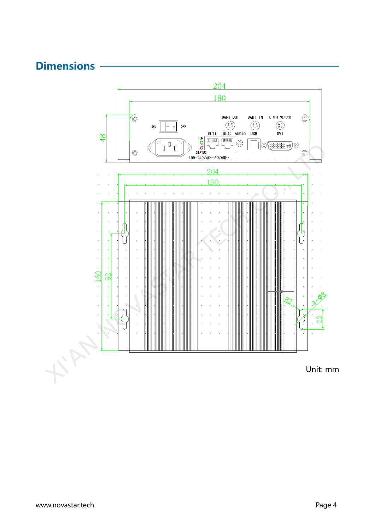



Unit: mm